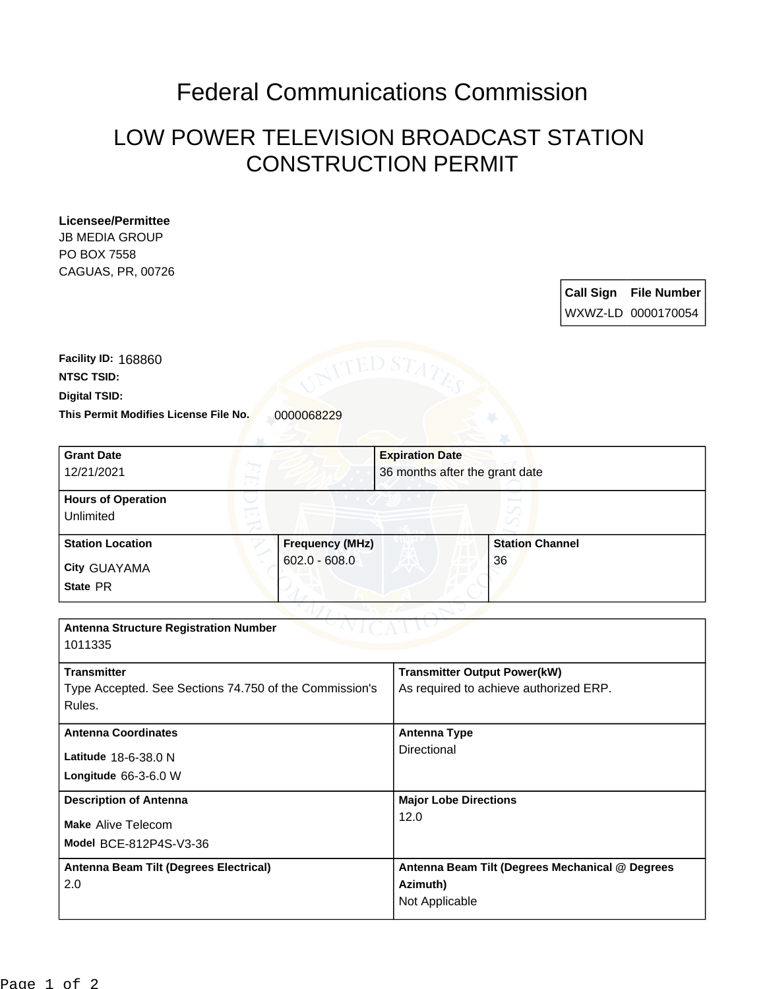## Federal Communications Commission

## LOW POWER TELEVISION BROADCAST STATION CONSTRUCTION PERMIT

## **Licensee/Permittee**

**JB MEDIA GROUP** PO BOX 7558 CAGUAS, PR, 00726

| Call Sign | <b>File Number</b> |
|-----------|--------------------|
|           | WXWZ-LD_0000170054 |

**This Permit Modifies License File No.** 0000068229 **Digital TSID: NTSC TSID: Facility ID:** 168860

| <b>Grant Date</b><br>12/21/2021                        |                        | <b>Expiration Date</b><br>36 months after the grant date |  |
|--------------------------------------------------------|------------------------|----------------------------------------------------------|--|
| <b>Hours of Operation</b>                              |                        |                                                          |  |
| Unlimited                                              |                        |                                                          |  |
| <b>Station Location</b>                                | <b>Frequency (MHz)</b> | <b>Station Channel</b>                                   |  |
| City GUAYAMA                                           | $602.0 - 608.0$        | 36                                                       |  |
| State PR                                               |                        |                                                          |  |
|                                                        |                        |                                                          |  |
| <b>Antenna Structure Registration Number</b>           |                        |                                                          |  |
| 1011335                                                |                        |                                                          |  |
| <b>Transmitter</b>                                     |                        | <b>Transmitter Output Power(kW)</b>                      |  |
| Type Accepted. See Sections 74.750 of the Commission's |                        | As required to achieve authorized ERP.                   |  |
| Rules.                                                 |                        |                                                          |  |
| <b>Antenna Coordinates</b>                             |                        | <b>Antenna Type</b>                                      |  |
| Latitude 18-6-38.0 N                                   |                        | Directional                                              |  |
| Longitude 66-3-6.0 W                                   |                        |                                                          |  |
| <b>Description of Antenna</b>                          |                        | <b>Major Lobe Directions</b>                             |  |
| <b>Make Alive Telecom</b>                              |                        | 12.0                                                     |  |
| Model BCE-812P4S-V3-36                                 |                        |                                                          |  |
| Antenna Beam Tilt (Degrees Electrical)                 |                        | Antenna Beam Tilt (Degrees Mechanical @ Degrees          |  |
| 2.0                                                    |                        | Azimuth)                                                 |  |
|                                                        |                        | Not Applicable                                           |  |